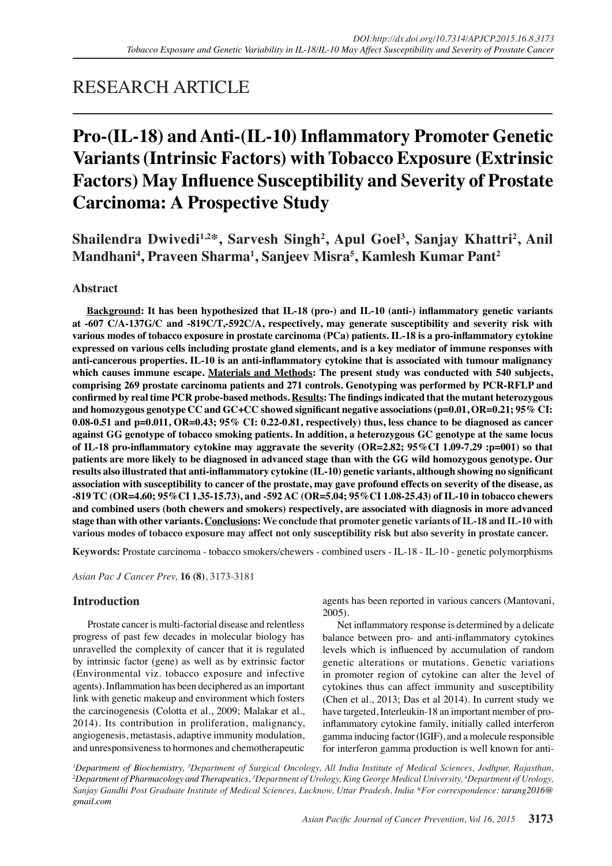# RESEARCH ARTICLE

# **Pro-(IL-18) and Anti-(IL-10) Inflammatory Promoter Genetic Variants (Intrinsic Factors) with Tobacco Exposure (Extrinsic Factors) May Influence Susceptibility and Severity of Prostate Carcinoma: A Prospective Study**

**Shailendra Dwivedi1,2\*, Sarvesh Singh<sup>2</sup> , Apul Goel<sup>3</sup> , Sanjay Khattri<sup>2</sup> , Anil Mandhani<sup>4</sup> , Praveen Sharma<sup>1</sup> , Sanjeev Misra<sup>5</sup> , Kamlesh Kumar Pant<sup>2</sup>**

**Abstract**

**Background: It has been hypothesized that IL-18 (pro-) and IL-10 (anti-) inflammatory genetic variants at -607 C/A-137G/C and -819C/T,-592C/A, respectively, may generate susceptibility and severity risk with various modes of tobacco exposure in prostate carcinoma (PCa) patients. IL-18 is a pro-inflammatory cytokine expressed on various cells including prostate gland elements, and is a key mediator of immune responses with anti-cancerous properties. IL-10 is an anti-inflammatory cytokine that is associated with tumour malignancy which causes immune escape. Materials and Methods: The present study was conducted with 540 subjects, comprising 269 prostate carcinoma patients and 271 controls. Genotyping was performed by PCR-RFLP and confirmed by real time PCR probe-based methods. Results: The findings indicated that the mutant heterozygous and homozygous genotype CC and GC+CC showed significant negative associations (p=0.01, OR=0.21; 95% CI: 0.08-0.51 and p=0.011, OR=0.43; 95% CI: 0.22-0.81, respectively) thus, less chance to be diagnosed as cancer against GG genotype of tobacco smoking patients. In addition, a heterozygous GC genotype at the same locus of IL-18 pro-inflammatory cytokine may aggravate the severity (OR=2.82; 95%CI 1.09-7.29 :p=001) so that patients are more likely to be diagnosed in advanced stage than with the GG wild homozygous genotype. Our results also illustrated that anti-inflammatory cytokine (IL-10) genetic variants, although showing no significant association with susceptibility to cancer of the prostate, may gave profound effects on severity of the disease, as -819 TC (OR=4.60; 95%CI 1.35-15.73), and -592 AC (OR=5.04; 95%CI 1.08-25.43) of IL-10 in tobacco chewers and combined users (both chewers and smokers) respectively, are associated with diagnosis in more advanced stage than with other variants. Conclusions: We conclude that promoter genetic variants of IL-18 and IL-10 with various modes of tobacco exposure may affect not only susceptibility risk but also severity in prostate cancer.**

**Keywords:** Prostate carcinoma - tobacco smokers/chewers - combined users - IL-18 - IL-10 - genetic polymorphisms

*Asian Pac J Cancer Prev,* **16 (8)**, 3173-3181

# **Introduction**

Prostate cancer is multi-factorial disease and relentless progress of past few decades in molecular biology has unravelled the complexity of cancer that it is regulated by intrinsic factor (gene) as well as by extrinsic factor (Environmental viz. tobacco exposure and infective agents). Inflammation has been deciphered as an important link with genetic makeup and environment which fosters the carcinogenesis (Colotta et al., 2009; Malakar et al., 2014). Its contribution in proliferation, malignancy, angiogenesis, metastasis, adaptive immunity modulation, and unresponsiveness to hormones and chemotherapeutic agents has been reported in various cancers (Mantovani, 2005).

Net inflammatory response is determined by a delicate balance between pro- and anti-inflammatory cytokines levels which is influenced by accumulation of random genetic alterations or mutations. Genetic variations in promoter region of cytokine can alter the level of cytokines thus can affect immunity and susceptibility (Chen et al., 2013; Das et al 2014). In current study we have targeted, Interleukin-18 an important member of proinflammatory cytokine family, initially called interferon gamma inducing factor (IGIF), and a molecule responsible for interferon gamma production is well known for anti-

*1 Department of Biochemistry, 5 Department of Surgical Oncology, All India Institute of Medical Sciences, Jodhpur, Rajasthan, 2 Department of Pharmacology and Therapeutics, 3 Department of Urology, King George Medical University, 4 Department of Urology, Sanjay Gandhi Post Graduate Institute of Medical Sciences, Lucknow, Uttar Pradesh, India \*For correspondence: tarang2016@ gmail.com*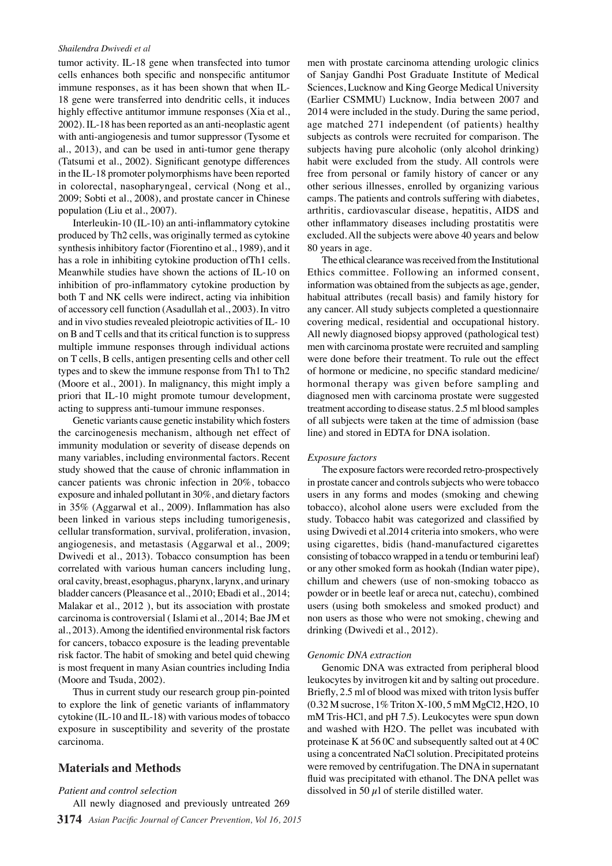#### *Shailendra Dwivedi et al*

tumor activity. IL-18 gene when transfected into tumor cells enhances both specific and nonspecific antitumor immune responses, as it has been shown that when IL-18 gene were transferred into dendritic cells, it induces highly effective antitumor immune responses (Xia et al., 2002). IL-18 has been reported as an anti-neoplastic agent with anti-angiogenesis and tumor suppressor (Tysome et al., 2013), and can be used in anti-tumor gene therapy (Tatsumi et al., 2002). Significant genotype differences in the IL-18 promoter polymorphisms have been reported in colorectal, nasopharyngeal, cervical (Nong et al., 2009; Sobti et al., 2008), and prostate cancer in Chinese population (Liu et al., 2007).

Interleukin-10 (IL-10) an anti-inflammatory cytokine produced by Th2 cells, was originally termed as cytokine synthesis inhibitory factor (Fiorentino et al., 1989), and it has a role in inhibiting cytokine production ofTh1 cells. Meanwhile studies have shown the actions of IL-10 on inhibition of pro-inflammatory cytokine production by both T and NK cells were indirect, acting via inhibition of accessory cell function (Asadullah et al., 2003). In vitro and in vivo studies revealed pleiotropic activities of IL- 10 on B and T cells and that its critical function is to suppress multiple immune responses through individual actions on T cells, B cells, antigen presenting cells and other cell types and to skew the immune response from Th1 to Th2 (Moore et al., 2001). In malignancy, this might imply a priori that IL-10 might promote tumour development, acting to suppress anti-tumour immune responses.

Genetic variants cause genetic instability which fosters the carcinogenesis mechanism, although net effect of immunity modulation or severity of disease depends on many variables, including environmental factors. Recent study showed that the cause of chronic inflammation in cancer patients was chronic infection in 20%, tobacco exposure and inhaled pollutant in 30%, and dietary factors in 35% (Aggarwal et al., 2009). Inflammation has also been linked in various steps including tumorigenesis, cellular transformation, survival, proliferation, invasion, angiogenesis, and metastasis (Aggarwal et al., 2009; Dwivedi et al., 2013). Tobacco consumption has been correlated with various human cancers including lung, oral cavity, breast, esophagus, pharynx, larynx, and urinary bladder cancers (Pleasance et al., 2010; Ebadi et al., 2014; Malakar et al., 2012 ), but its association with prostate carcinoma is controversial ( Islami et al., 2014; Bae JM et al., 2013). Among the identified environmental risk factors for cancers, tobacco exposure is the leading preventable risk factor. The habit of smoking and betel quid chewing is most frequent in many Asian countries including India (Moore and Tsuda, 2002).

Thus in current study our research group pin-pointed to explore the link of genetic variants of inflammatory cytokine (IL-10 and IL-18) with various modes of tobacco exposure in susceptibility and severity of the prostate carcinoma.

# **Materials and Methods**

# *Patient and control selection*

**3174** *Asian Pacific Journal of Cancer Prevention, Vol 16, 2015* All newly diagnosed and previously untreated 269

men with prostate carcinoma attending urologic clinics of Sanjay Gandhi Post Graduate Institute of Medical Sciences, Lucknow and King George Medical University (Earlier CSMMU) Lucknow, India between 2007 and 2014 were included in the study. During the same period, age matched 271 independent (of patients) healthy subjects as controls were recruited for comparison. The subjects having pure alcoholic (only alcohol drinking) habit were excluded from the study. All controls were free from personal or family history of cancer or any other serious illnesses, enrolled by organizing various camps. The patients and controls suffering with diabetes, arthritis, cardiovascular disease, hepatitis, AIDS and other inflammatory diseases including prostatitis were excluded. All the subjects were above 40 years and below 80 years in age.

The ethical clearance was received from the Institutional Ethics committee. Following an informed consent, information was obtained from the subjects as age, gender, habitual attributes (recall basis) and family history for any cancer. All study subjects completed a questionnaire covering medical, residential and occupational history. All newly diagnosed biopsy approved (pathological test) men with carcinoma prostate were recruited and sampling were done before their treatment. To rule out the effect of hormone or medicine, no specific standard medicine/ hormonal therapy was given before sampling and diagnosed men with carcinoma prostate were suggested treatment according to disease status. 2.5 ml blood samples of all subjects were taken at the time of admission (base line) and stored in EDTA for DNA isolation.

# *Exposure factors*

The exposure factors were recorded retro-prospectively in prostate cancer and controls subjects who were tobacco users in any forms and modes (smoking and chewing tobacco), alcohol alone users were excluded from the study. Tobacco habit was categorized and classified by using Dwivedi et al.2014 criteria into smokers, who were using cigarettes, bidis (hand-manufactured cigarettes consisting of tobacco wrapped in a tendu or temburini leaf) or any other smoked form as hookah (Indian water pipe), chillum and chewers (use of non-smoking tobacco as powder or in beetle leaf or areca nut, catechu), combined users (using both smokeless and smoked product) and non users as those who were not smoking, chewing and drinking (Dwivedi et al., 2012).

# *Genomic DNA extraction*

Genomic DNA was extracted from peripheral blood leukocytes by invitrogen kit and by salting out procedure. Briefly, 2.5 ml of blood was mixed with triton lysis buffer (0.32 M sucrose, 1% Triton X-100, 5 mM MgCl2, H2O, 10 mM Tris-HCl, and pH 7.5). Leukocytes were spun down and washed with H2O. The pellet was incubated with proteinase K at 56 0C and subsequently salted out at 4 0C using a concentrated NaCl solution. Precipitated proteins were removed by centrifugation. The DNA in supernatant fluid was precipitated with ethanol. The DNA pellet was dissolved in 50  $\mu$ l of sterile distilled water.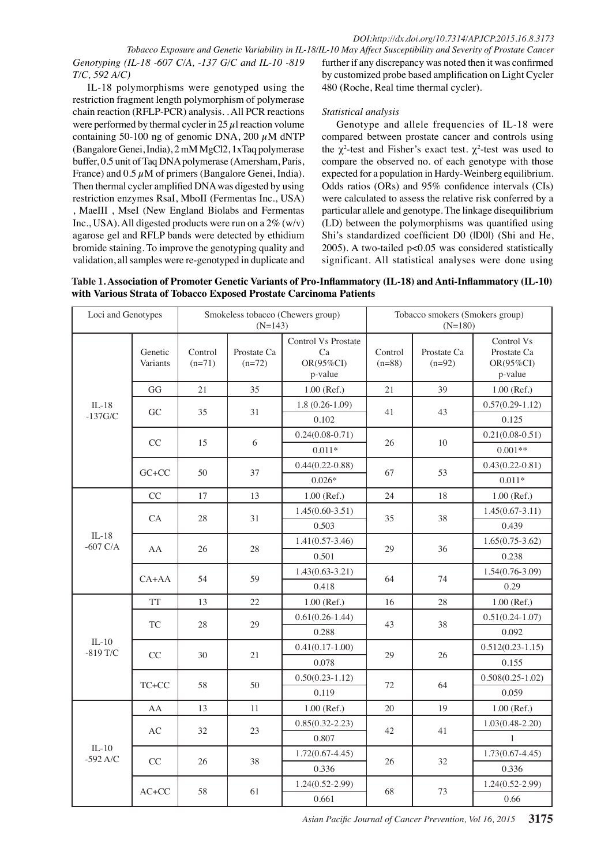*Genotyping (IL-18 -607 C/A, -137 G/C and IL-10 -819 T/C, 592 A/C)*

IL-18 polymorphisms were genotyped using the restriction fragment length polymorphism of polymerase chain reaction (RFLP-PCR) analysis. . All PCR reactions were performed by thermal cycler in  $25 \mu$ l reaction volume containing 50-100 ng of genomic DNA, 200  $\mu$ M dNTP (Bangalore Genei, India), 2 mM MgCl2, 1xTaq polymerase buffer, 0.5 unit of Taq DNA polymerase (Amersham, Paris, France) and  $0.5 \mu$ M of primers (Bangalore Genei, India). Then thermal cycler amplified DNA was digested by using restriction enzymes RsaI, MboII (Fermentas Inc., USA) , MaeIII , MseI (New England Biolabs and Fermentas Inc., USA). All digested products were run on a  $2\%$  (w/v) agarose gel and RFLP bands were detected by ethidium bromide staining. To improve the genotyping quality and validation, all samples were re-genotyped in duplicate and

*Tobacco Exposure and Genetic Variability in IL-18/IL-10 May Affect Susceptibility and Severity of Prostate Cancer* further if any discrepancy was noted then it was confirmed by customized probe based amplification on Light Cycler 480 (Roche, Real time thermal cycler).

#### *Statistical analysis*

Genotype and allele frequencies of IL-18 were compared between prostate cancer and controls using the  $\chi^2$ -test and Fisher's exact test.  $\chi^2$ -test was used to compare the observed no. of each genotype with those expected for a population in Hardy-Weinberg equilibrium. Odds ratios (ORs) and 95% confidence intervals (CIs) were calculated to assess the relative risk conferred by a particular allele and genotype. The linkage disequilibrium (LD) between the polymorphisms was quantified using Shi's standardized coefficient D0 (|D0|) (Shi and He, 2005). A two-tailed p<0.05 was considered statistically significant. All statistical analyses were done using

**Table 1. Association of Promoter Genetic Variants of Pro-Inflammatory (IL-18) and Anti-Inflammatory (IL-10) with Various Strata of Tobacco Exposed Prostate Carcinoma Patients**

| Loci and Genotypes      |                     | Smokeless tobacco (Chewers group)<br>$(N=143)$ |                         |                                                   | Tobacco smokers (Smokers group)<br>$(N=180)$ |                         |                                                   |
|-------------------------|---------------------|------------------------------------------------|-------------------------|---------------------------------------------------|----------------------------------------------|-------------------------|---------------------------------------------------|
|                         | Genetic<br>Variants | Control<br>$(n=71)$                            | Prostate Ca<br>$(n=72)$ | Control Vs Prostate<br>Ca<br>OR(95%CI)<br>p-value | Control<br>$(n=88)$                          | Prostate Ca<br>$(n=92)$ | Control Vs<br>Prostate Ca<br>OR(95%CI)<br>p-value |
|                         | GG                  | 21                                             | 35                      | $1.00$ (Ref.)                                     | 21                                           | 39                      | $1.00$ (Ref.)                                     |
| $IL-18$<br>$-137$ G/C   | GC                  | 35                                             | 31                      | $1.8(0.26-1.09)$                                  | 41                                           | 43                      | $0.57(0.29-1.12)$                                 |
|                         |                     |                                                |                         | 0.102                                             |                                              |                         | 0.125                                             |
|                         | CC                  | 15                                             |                         | $0.24(0.08-0.71)$                                 | 26                                           |                         | $0.21(0.08-0.51)$                                 |
|                         |                     |                                                | 6                       | $0.011*$                                          |                                              | 10                      | $0.001**$                                         |
|                         | $G C + C C$         | 50                                             | 37                      | $0.44(0.22 - 0.88)$                               | 67                                           | 53                      | $0.43(0.22 - 0.81)$                               |
|                         |                     |                                                |                         | $0.026*$                                          |                                              |                         | $0.011*$                                          |
|                         | CC                  | 17                                             | 13                      | $1.00$ (Ref.)                                     | 24                                           | 18                      | $1.00$ (Ref.)                                     |
|                         | CA                  | 28                                             | 31                      | $1.45(0.60-3.51)$                                 | 35                                           | 38                      | $1.45(0.67-3.11)$                                 |
|                         |                     |                                                |                         | 0.503                                             |                                              |                         | 0.439                                             |
| $IL-18$<br>$-607$ C/A   | AA                  | 26                                             | 28                      | $1.41(0.57-3.46)$                                 | 29                                           | 36                      | $1.65(0.75-3.62)$                                 |
|                         |                     |                                                |                         | 0.501                                             |                                              |                         | 0.238                                             |
|                         | $CA+AA$             | 54                                             | 59                      | $1.43(0.63 - 3.21)$                               | 64                                           | 74                      | $1.54(0.76-3.09)$                                 |
|                         |                     |                                                |                         | 0.418                                             |                                              |                         | 0.29                                              |
|                         | <b>TT</b>           | 13                                             | 22                      | $1.00$ (Ref.)                                     | 16                                           | 28                      | $1.00$ (Ref.)                                     |
|                         | <b>TC</b>           | 28                                             | 29                      | $0.61(0.26 - 1.44)$                               | 43                                           | 38                      | $0.51(0.24-1.07)$                                 |
|                         |                     |                                                |                         | 0.288                                             |                                              |                         | 0.092                                             |
| $IL-10$<br>$-819$ T/C   | CC                  | 30                                             | 21                      | $0.41(0.17-1.00)$                                 | 29                                           | 26                      | $0.512(0.23 - 1.15)$                              |
|                         |                     |                                                |                         | 0.078                                             |                                              |                         | 0.155                                             |
|                         | TC+CC               | 58                                             | 50                      | $0.50(0.23 - 1.12)$                               | 72                                           | 64                      | $0.508(0.25 - 1.02)$                              |
|                         |                     |                                                |                         | 0.119                                             |                                              |                         | 0.059                                             |
|                         | AA                  | 13                                             | 11                      | $1.00$ (Ref.)                                     | 20                                           | 19                      | $1.00$ (Ref.)                                     |
| $II - 10$<br>$-592$ A/C | AC                  | 32                                             | 23                      | $0.85(0.32 - 2.23)$                               | 42                                           | 41                      | $1.03(0.48 - 2.20)$                               |
|                         |                     |                                                |                         | 0.807                                             |                                              |                         | $\mathbf{1}$                                      |
|                         | CC                  | 26                                             | 38                      | $1.72(0.67 - 4.45)$                               | 26                                           | 32                      | $1.73(0.67 - 4.45)$                               |
|                         |                     |                                                |                         | 0.336                                             |                                              |                         | 0.336                                             |
|                         | $AC+CC$             | 58                                             | 61                      | $1.24(0.52 - 2.99)$                               | 68                                           | 73                      | $1.24(0.52 - 2.99)$                               |
|                         |                     |                                                |                         | 0.661                                             |                                              |                         | 0.66                                              |

*Asian Pacific Journal of Cancer Prevention, Vol 16, 2015* **3175**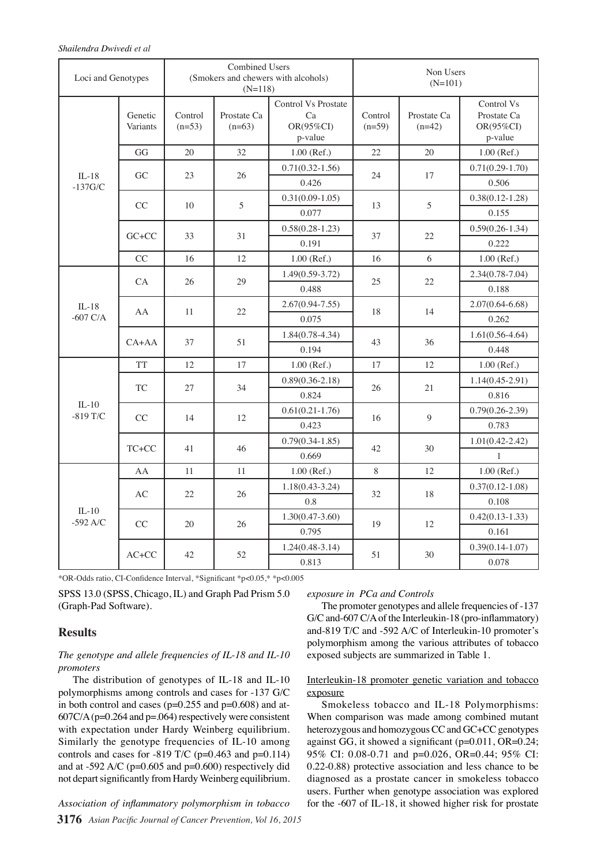#### *Shailendra Dwivedi et al*

| Loci and Genotypes    |                     | <b>Combined Users</b><br>(Smokers and chewers with alcohols)<br>$(N=118)$ |                         |                                                          | Non Users<br>$(N=101)$ |                         |                                                   |
|-----------------------|---------------------|---------------------------------------------------------------------------|-------------------------|----------------------------------------------------------|------------------------|-------------------------|---------------------------------------------------|
|                       | Genetic<br>Variants | Control<br>$(n=53)$                                                       | Prostate Ca<br>$(n=63)$ | <b>Control Vs Prostate</b><br>Ca<br>OR(95%CI)<br>p-value | Control<br>$(n=59)$    | Prostate Ca<br>$(n=42)$ | Control Vs<br>Prostate Ca<br>OR(95%CI)<br>p-value |
|                       | GG                  | 20                                                                        | 32                      | $1.00$ (Ref.)                                            | 22                     | 20                      | $1.00$ (Ref.)                                     |
| $IL-18$               | GC                  | 23                                                                        | 26                      | $0.71(0.32 - 1.56)$                                      | 24                     | 17                      | $0.71(0.29-1.70)$                                 |
| $-137$ G/C            |                     |                                                                           |                         | 0.426                                                    |                        |                         | 0.506                                             |
|                       | CC                  | 10                                                                        |                         | $0.31(0.09-1.05)$                                        | 13                     | 5                       | $0.38(0.12 - 1.28)$                               |
|                       |                     |                                                                           | 5                       | 0.077                                                    |                        |                         | 0.155                                             |
|                       | $G C + C C$         | 33                                                                        | 31                      | $0.58(0.28-1.23)$                                        | 37                     | 22                      | $0.59(0.26 - 1.34)$                               |
|                       |                     |                                                                           |                         | 0.191                                                    |                        |                         | 0.222                                             |
|                       | CC                  | 16                                                                        | 12                      | $1.00$ (Ref.)                                            | 16                     | 6                       | 1.00 (Ref.)                                       |
|                       | <b>CA</b>           | 26                                                                        | 29                      | $1.49(0.59-3.72)$                                        | 25                     | 22                      | $2.34(0.78 - 7.04)$                               |
|                       |                     |                                                                           |                         | 0.488                                                    |                        |                         | 0.188                                             |
| $IL-18$               | AA                  | 11                                                                        | 22                      | $2.67(0.94 - 7.55)$                                      | 18                     | 14                      | $2.07(0.64 - 6.68)$                               |
| $-607$ C/A            |                     |                                                                           |                         | 0.075                                                    |                        |                         | 0.262                                             |
|                       | $CA+AA$             | 37                                                                        | 51                      | $1.84(0.78-4.34)$                                        | 43                     | 36                      | $1.61(0.56-4.64)$                                 |
|                       |                     |                                                                           |                         | 0.194                                                    |                        |                         | 0.448                                             |
|                       | <b>TT</b>           | 12                                                                        | 17                      | $1.00$ (Ref.)                                            | 17                     | 12                      | $1.00$ (Ref.)                                     |
|                       | <b>TC</b>           | 27                                                                        | 34                      | $0.89(0.36 - 2.18)$                                      | 26                     | 21                      | $1.14(0.45 - 2.91)$                               |
|                       |                     |                                                                           |                         | 0.824                                                    |                        |                         | 0.816                                             |
| $IL-10$<br>$-819$ T/C | CC                  | 14                                                                        | 12                      | $0.61(0.21-1.76)$                                        | 16                     | 9                       | $0.79(0.26-2.39)$                                 |
|                       |                     |                                                                           |                         | 0.423                                                    |                        |                         | 0.783                                             |
|                       | TC+CC               | 41                                                                        | 46                      | $0.79(0.34-1.85)$                                        | 42                     | 30                      | $1.01(0.42 - 2.42)$                               |
|                       |                     |                                                                           |                         | 0.669                                                    |                        |                         | $\mathbf{1}$                                      |
|                       | AA                  | 11                                                                        | 11                      | $1.00$ (Ref.)                                            | 8                      | 12                      | 1.00 (Ref.)                                       |
| $IL-10$<br>$-592$ A/C | AC                  | 22                                                                        | 26                      | $1.18(0.43-3.24)$                                        | 32                     | 18                      | $0.37(0.12 - 1.08)$                               |
|                       |                     |                                                                           |                         | 0.8                                                      |                        |                         | 0.108                                             |
|                       | CC                  | 20                                                                        | 26                      | $1.30(0.47-3.60)$                                        | 19                     | 12                      | $0.42(0.13 - 1.33)$                               |
|                       |                     |                                                                           |                         | 0.795                                                    |                        |                         | 0.161                                             |
|                       | $AC+CC$             | 42                                                                        | 52                      | $1.24(0.48-3.14)$                                        | 51                     | 30                      | $0.39(0.14-1.07)$                                 |
|                       |                     |                                                                           |                         | 0.813                                                    |                        |                         | 0.078                                             |

\*OR-Odds ratio, CI-Confidence Interval, \*Significant \*p<0.05,\* \*p<0.005

SPSS 13.0 (SPSS, Chicago, IL) and Graph Pad Prism 5.0 (Graph-Pad Software).

# **Results**

# *The genotype and allele frequencies of IL-18 and IL-10 promoters*

The distribution of genotypes of IL-18 and IL-10 polymorphisms among controls and cases for -137 G/C in both control and cases ( $p=0.255$  and  $p=0.608$ ) and at- $607C/A$  (p=0.264 and p=.064) respectively were consistent with expectation under Hardy Weinberg equilibrium. Similarly the genotype frequencies of IL-10 among controls and cases for -819 T/C ( $p=0.463$  and  $p=0.114$ ) and at -592 A/C ( $p=0.605$  and  $p=0.600$ ) respectively did not depart significantly from Hardy Weinberg equilibrium.

**3176** *Asian Pacific Journal of Cancer Prevention, Vol 16, 2015 Association of inflammatory polymorphism in tobacco* 

# *exposure in PCa and Controls*

The promoter genotypes and allele frequencies of -137 G/C and-607 C/A of the Interleukin-18 (pro-inflammatory) and-819 T/C and -592 A/C of Interleukin-10 promoter's polymorphism among the various attributes of tobacco exposed subjects are summarized in Table 1.

# Interleukin-18 promoter genetic variation and tobacco exposure

Smokeless tobacco and IL-18 Polymorphisms: When comparison was made among combined mutant heterozygous and homozygous CC and GC+CC genotypes against GG, it showed a significant (p=0.011, OR=0.24; 95% CI: 0.08-0.71 and p=0.026, OR=0.44; 95% CI: 0.22-0.88) protective association and less chance to be diagnosed as a prostate cancer in smokeless tobacco users. Further when genotype association was explored for the -607 of IL-18, it showed higher risk for prostate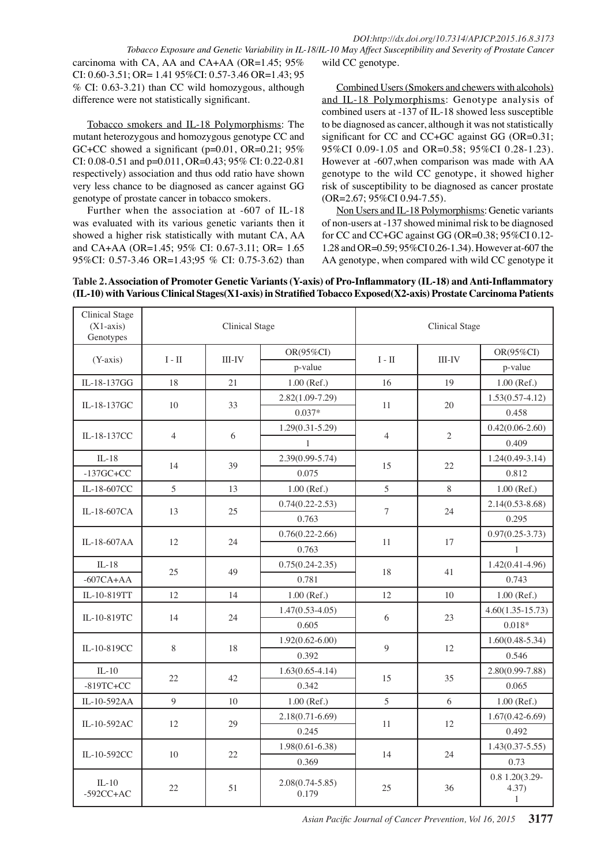carcinoma with CA, AA and CA+AA (OR=1.45; 95% CI: 0.60-3.51; OR= 1.41 95%CI: 0.57-3.46 OR=1.43; 95 % CI: 0.63-3.21) than CC wild homozygous, although difference were not statistically significant.

Tobacco smokers and IL-18 Polymorphisms: The mutant heterozygous and homozygous genotype CC and GC+CC showed a significant ( $p=0.01$ , OR=0.21; 95% CI: 0.08-0.51 and p=0.011, OR=0.43; 95% CI: 0.22-0.81 respectively) association and thus odd ratio have shown very less chance to be diagnosed as cancer against GG genotype of prostate cancer in tobacco smokers.

Further when the association at -607 of IL-18 was evaluated with its various genetic variants then it showed a higher risk statistically with mutant CA, AA and CA+AA (OR=1.45; 95% CI: 0.67-3.11; OR= 1.65 95%CI: 0.57-3.46 OR=1.43;95 % CI: 0.75-3.62) than

Combined Users (Smokers and chewers with alcohols) and IL-18 Polymorphisms: Genotype analysis of combined users at -137 of IL-18 showed less susceptible to be diagnosed as cancer, although it was not statistically significant for CC and CC+GC against GG (OR=0.31; 95%CI 0.09-1.05 and OR=0.58; 95%CI 0.28-1.23). However at -607,when comparison was made with AA genotype to the wild CC genotype, it showed higher risk of susceptibility to be diagnosed as cancer prostate (OR=2.67; 95%CI 0.94-7.55).

Non Users and IL-18 Polymorphisms: Genetic variants of non-users at -137 showed minimal risk to be diagnosed for CC and CC+GC against GG (OR=0.38; 95%CI 0.12- 1.28 and OR=0.59; 95%CI 0.26-1.34). However at-607 the AA genotype, when compared with wild CC genotype it

| Table 2. Association of Promoter Genetic Variants (Y-axis) of Pro-Inflammatory (IL-18) and Anti-Inflammatory     |  |
|------------------------------------------------------------------------------------------------------------------|--|
| (IL-10) with Various Clinical Stages(X1-axis) in Stratified Tobacco Exposed(X2-axis) Prostate Carcinoma Patients |  |

| <b>Clinical Stage</b><br>$(X1-axis)$<br>Genotypes |                | <b>Clinical Stage</b> |                              | <b>Clinical Stage</b> |                |                                         |
|---------------------------------------------------|----------------|-----------------------|------------------------------|-----------------------|----------------|-----------------------------------------|
| $(Y-axis)$                                        | $I - II$       | <b>III-IV</b>         | OR(95%CI)                    | $\rm I$ - $\rm II$    | <b>III-IV</b>  | OR(95%CI)                               |
|                                                   |                |                       | p-value                      |                       |                | p-value                                 |
| IL-18-137GG                                       | 18             | 21                    | 1.00 (Ref.)                  | 16                    | 19             | $1.00$ (Ref.)                           |
| IL-18-137GC                                       | 10             | 33                    | $2.82(1.09-7.29)$            | 11                    | 20             | $1.53(0.57 - 4.12)$                     |
|                                                   |                |                       | $0.037*$                     |                       |                | 0.458                                   |
| IL-18-137CC                                       | $\overline{4}$ | 6                     | $1.29(0.31 - 5.29)$          | $\overline{4}$        | $\mathfrak{2}$ | $0.42(0.06-2.60)$                       |
|                                                   |                |                       | $\mathbf{1}$                 |                       |                | 0.409                                   |
| $IL-18$                                           | 14             |                       | $2.39(0.99 - 5.74)$          | 15                    | 22             | $1.24(0.49-3.14)$                       |
| $-137$ GC+CC                                      |                | 39                    | 0.075                        |                       |                | 0.812                                   |
| IL-18-607CC                                       | 5              | 13                    | 1.00 (Ref.)                  | 5                     | 8              | $1.00$ (Ref.)                           |
| IL-18-607CA                                       | 13             | 25                    | $0.74(0.22 - 2.53)$          | $\tau$                | 24             | $2.14(0.53 - 8.68)$                     |
|                                                   |                |                       | 0.763                        |                       |                | 0.295                                   |
| IL-18-607AA                                       | 12             | 24                    | $0.76(0.22 - 2.66)$          | 11                    | 17             | $0.97(0.25 - 3.73)$                     |
|                                                   |                |                       | 0.763                        |                       |                | $\mathbf{1}$                            |
| $IL-18$                                           | 25             | 49                    | $0.75(0.24 - 2.35)$          | 18                    | 41             | $1.42(0.41 - 4.96)$                     |
| $-607CA+AA$                                       |                |                       | 0.781                        |                       |                | 0.743                                   |
| IL-10-819TT                                       | 12             | 14                    | 1.00 (Ref.)                  | 12                    | 10             | $1.00$ (Ref.)                           |
| IL-10-819TC                                       | 14             | 24                    | $1.47(0.53 - 4.05)$          | 6                     | 23             | $4.60(1.35 - 15.73)$                    |
|                                                   |                |                       | 0.605                        |                       |                | $0.018*$                                |
| IL-10-819CC                                       | 8              | 18                    | $1.92(0.62 - 6.00)$          | $\mathbf Q$           | 12             | $1.60(0.48 - 5.34)$                     |
|                                                   |                |                       | 0.392                        |                       |                | 0.546                                   |
| $IL-10$                                           | 22             | 42                    | $1.63(0.65 - 4.14)$          | 15                    | 35             | $2.80(0.99 - 7.88)$                     |
| $-819TC+CC$                                       |                |                       | 0.342                        |                       |                | 0.065                                   |
| IL-10-592AA                                       | $\mathbf Q$    | 10                    | 1.00 (Ref.)                  | 5                     | 6              | $1.00$ (Ref.)                           |
| IL-10-592AC                                       | 12             | 29                    | $2.18(0.71-6.69)$            | 11                    | 12             | $1.67(0.42 - 6.69)$                     |
|                                                   |                |                       | 0.245                        |                       |                | 0.492                                   |
| IL-10-592CC                                       | 10             | 22                    | $1.98(0.61 - 6.38)$          | 14                    | 24             | $1.43(0.37 - 5.55)$                     |
|                                                   |                |                       | 0.369                        |                       |                | 0.73                                    |
| $IL-10$<br>$-592CC + AC$                          | 22             | 51                    | $2.08(0.74 - 5.85)$<br>0.179 | 25                    | 36             | 0.8 1.20(3.29-<br>4.37)<br>$\mathbf{1}$ |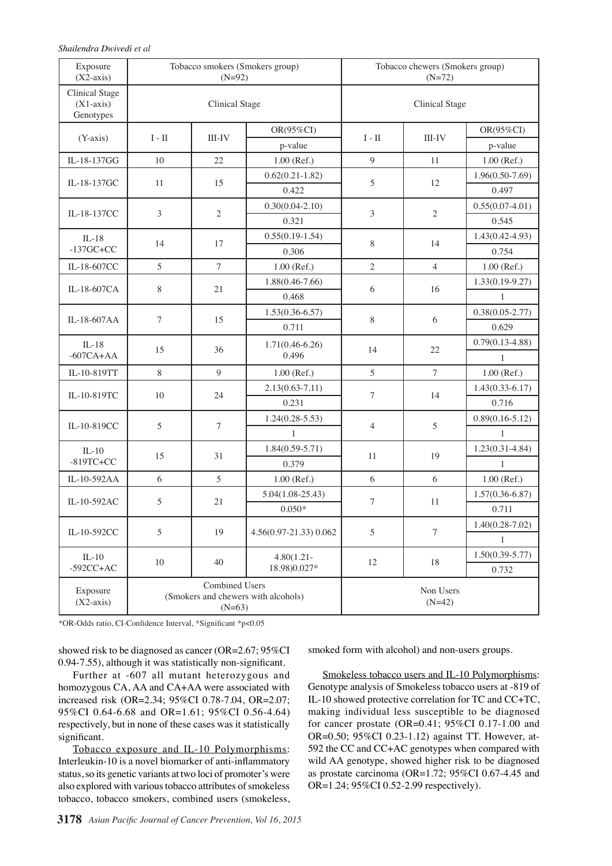| Exposure<br>$(X2-axis)$                           |                | $(N=92)$                          | Tobacco smokers (Smokers group)     | Tobacco chewers (Smokers group)<br>$(N=72)$ |                       |                                     |                     |              |                     |  |
|---------------------------------------------------|----------------|-----------------------------------|-------------------------------------|---------------------------------------------|-----------------------|-------------------------------------|---------------------|--------------|---------------------|--|
| <b>Clinical Stage</b><br>$(X1-axis)$<br>Genotypes |                | <b>Clinical Stage</b>             |                                     | <b>Clinical Stage</b>                       |                       |                                     |                     |              |                     |  |
| $(Y-axis)$                                        | $I$ - $\rm II$ | $III$ - $IV$                      | OR(95%CI)                           | $I$ - $\rm II$                              | III-IV                | OR(95%CI)                           |                     |              |                     |  |
|                                                   |                |                                   | p-value                             |                                             |                       | p-value                             |                     |              |                     |  |
| IL-18-137GG                                       | 10             | 22                                | 1.00 (Ref.)                         | 9                                           | 11                    | 1.00 (Ref.)                         |                     |              |                     |  |
| IL-18-137GC                                       | 11             | 15                                | $0.62(0.21-1.82)$                   | 5                                           | 12                    | $1.96(0.50 - 7.69)$                 | TDO.O               |              |                     |  |
|                                                   |                |                                   | 0.422                               |                                             |                       | 0.497                               |                     |              |                     |  |
| IL-18-137CC                                       | 3              | $\overline{c}$                    | $0.30(0.04-2.10)$                   | $\mathfrak{Z}$                              | $\mathfrak{2}$        | $0.55(0.07-4.01)$                   |                     |              |                     |  |
|                                                   |                |                                   | 0.321                               |                                             |                       | 0.545                               | 75.0                |              |                     |  |
| $IL-18$                                           | 14             | 17                                | $0.55(0.19-1.54)$                   | $8\,$                                       | 14                    | $1.43(0.42 - 4.93)$                 |                     |              |                     |  |
| $-137$ GC+CC                                      |                |                                   |                                     | 0.306                                       |                       |                                     | 0.754               |              |                     |  |
| IL-18-607CC                                       | 5              | $\tau$                            | 1.00 (Ref.)                         | $\overline{2}$                              | $\overline{4}$        | 1.00 (Ref.)                         | 50.0                |              |                     |  |
| IL-18-607CA                                       | 8              | 21                                | $1.88(0.46 - 7.66)$                 | 6                                           | 16                    | $1.33(0.19-9.27)$                   |                     |              |                     |  |
|                                                   |                |                                   |                                     | 0.468                                       |                       |                                     | $\mathbf{1}$        |              |                     |  |
| IL-18-607AA                                       | $\tau$         | 15                                | $1.53(0.36-6.57)$                   | $8\,$                                       | 6                     | $0.38(0.05 - 2.77)$                 | 25.0                |              |                     |  |
|                                                   |                |                                   | 0.711                               |                                             |                       | 0.629                               |                     |              |                     |  |
| $IL-18$<br>$-607CA+AA$                            | 15             | 36                                | $1.71(0.46-6.26)$<br>0.496          | 14                                          | 22                    | $0.79(0.13 - 4.88)$<br>$\mathbf{1}$ | $\mathbf 0$         |              |                     |  |
| IL-10-819TT                                       | 8              | 9                                 | $1.00$ (Ref.)                       | 5                                           | $\tau$                | 1.00 (Ref.)                         |                     |              |                     |  |
|                                                   | 10             |                                   | $2.13(0.63 - 7.11)$                 |                                             |                       | $1.43(0.33-6.17)$                   |                     |              |                     |  |
| IL-10-819TC                                       |                | 24                                | 0.231                               | $\overline{7}$                              | 14                    | 0.716                               |                     |              |                     |  |
|                                                   | 5              |                                   |                                     | $1.24(0.28 - 5.53)$                         |                       |                                     | $0.89(0.16 - 5.12)$ |              |                     |  |
| IL-10-819CC                                       |                |                                   |                                     | $\tau$                                      | $\mathbf{1}$          | $\overline{4}$                      | 5                   | $\mathbf{1}$ |                     |  |
|                                                   | 15             |                                   | $IL-10$                             |                                             |                       | $1.84(0.59 - 5.71)$                 |                     |              | $1.23(0.31 - 4.84)$ |  |
| $-819TC+CC$                                       |                |                                   |                                     |                                             | 31                    | 0.379                               | 11                  | 19           | 1                   |  |
| IL-10-592AA                                       | 6              | 5                                 | 1.00 (Ref.)                         | 6                                           | 6                     | $1.00$ (Ref.)                       |                     |              |                     |  |
| IL-10-592AC                                       | 5              |                                   | $5.04(1.08-25.43)$                  | $\boldsymbol{7}$                            | 11                    | $1.57(0.36-6.87)$                   |                     |              |                     |  |
|                                                   |                | 21                                | $0.050*$                            |                                             |                       | 0.711                               |                     |              |                     |  |
| IL-10-592CC                                       | 5              | 19                                | 4.56(0.97-21.33) 0.062              | 5                                           | 7                     | $1.40(0.28 - 7.02)$                 |                     |              |                     |  |
|                                                   |                |                                   |                                     |                                             |                       | $\mathbf{1}$                        |                     |              |                     |  |
| $IL-10$                                           |                |                                   | $4.80(1.21 -$                       |                                             |                       | $1.50(0.39 - 5.77)$                 |                     |              |                     |  |
| $-592CC + AC$                                     | 10             | 40                                | 18.98)0.027*                        | 12                                          | 18                    | 0.732                               |                     |              |                     |  |
| Exposure<br>$(X2-axis)$                           |                | <b>Combined Users</b><br>$(N=63)$ | (Smokers and chewers with alcohols) |                                             | Non Users<br>$(N=42)$ |                                     |                     |              |                     |  |

\*OR-Odds ratio, CI-Confidence Interval, \*Significant \*p<0.05

showed risk to be diagnosed as cancer (OR=2.67; 95%CI 0.94-7.55), although it was statistically non-significant.

Further at -607 all mutant heterozygous and homozygous CA, AA and CA+AA were associated with increased risk (OR=2.34; 95%CI 0.78-7.04, OR=2.07; 95%CI 0.64-6.68 and OR=1.61; 95%CI 0.56-4.64) respectively, but in none of these cases was it statistically significant.

Tobacco exposure and IL-10 Polymorphisms: Interleukin-10 is a novel biomarker of anti-inflammatory status, so its genetic variants at two loci of promoter's were also explored with various tobacco attributes of smokeless tobacco, tobacco smokers, combined users (smokeless, smoked form with alcohol) and non-users groups.

Smokeless tobacco users and IL-10 Polymorphisms: Genotype analysis of Smokeless tobacco users at -819 of IL-10 showed protective correlation for TC and CC+TC, making individual less susceptible to be diagnosed for cancer prostate (OR=0.41; 95%CI 0.17-1.00 and OR=0.50; 95%CI 0.23-1.12) against TT. However, at-592 the CC and CC+AC genotypes when compared with wild AA genotype, showed higher risk to be diagnosed as prostate carcinoma (OR=1.72; 95%CI 0.67-4.45 and OR=1.24; 95%CI 0.52-2.99 respectively).

**20.3 6.3 10.1**

**38.0 31.3 38.031.3**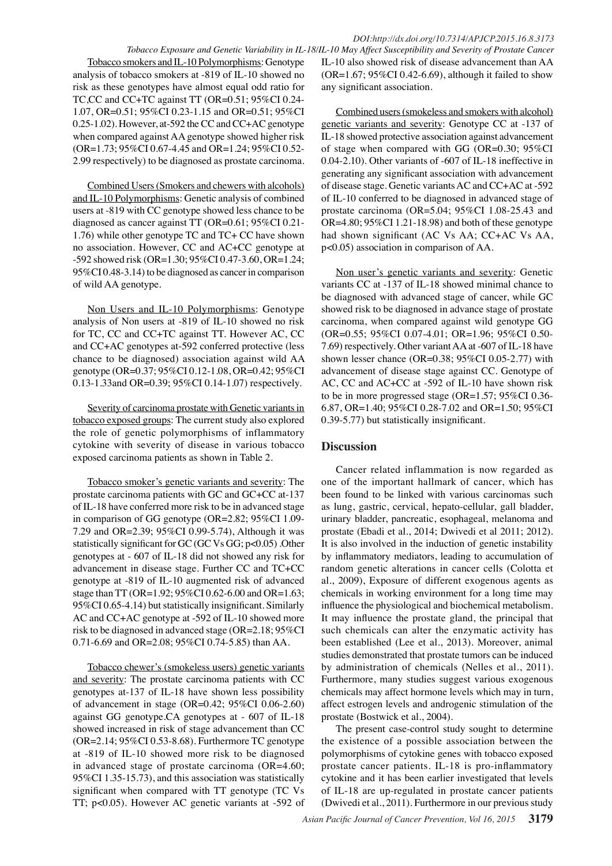Tobacco smokers and IL-10 Polymorphisms: Genotype analysis of tobacco smokers at -819 of IL-10 showed no risk as these genotypes have almost equal odd ratio for TC,CC and CC+TC against TT (OR=0.51; 95%CI 0.24- 1.07, OR=0.51; 95%CI 0.23-1.15 and OR=0.51; 95%CI 0.25-1.02). However, at-592 the CC and CC+AC genotype when compared against AA genotype showed higher risk (OR=1.73; 95%CI 0.67-4.45 and OR=1.24; 95%CI 0.52- 2.99 respectively) to be diagnosed as prostate carcinoma.

Combined Users (Smokers and chewers with alcohols) and IL-10 Polymorphisms: Genetic analysis of combined users at -819 with CC genotype showed less chance to be diagnosed as cancer against TT (OR=0.61; 95%CI 0.21- 1.76) while other genotype TC and TC+ CC have shown no association. However, CC and AC+CC genotype at -592 showed risk (OR=1.30; 95%CI 0.47-3.60, OR=1.24; 95%CI 0.48-3.14) to be diagnosed as cancer in comparison of wild AA genotype.

Non Users and IL-10 Polymorphisms: Genotype analysis of Non users at -819 of IL-10 showed no risk for TC, CC and CC+TC against TT. However AC, CC and CC+AC genotypes at-592 conferred protective (less chance to be diagnosed) association against wild AA genotype (OR=0.37; 95%CI 0.12-1.08, OR=0.42; 95%CI 0.13-1.33and OR=0.39; 95%CI 0.14-1.07) respectively.

Severity of carcinoma prostate with Genetic variants in tobacco exposed groups: The current study also explored the role of genetic polymorphisms of inflammatory cytokine with severity of disease in various tobacco exposed carcinoma patients as shown in Table 2.

Tobacco smoker's genetic variants and severity: The prostate carcinoma patients with GC and GC+CC at-137 of IL-18 have conferred more risk to be in advanced stage in comparison of GG genotype (OR=2.82; 95%CI 1.09- 7.29 and OR=2.39; 95%CI 0.99-5.74), Although it was statistically significant for GC (GC Vs GG; p<0.05) .Other genotypes at - 607 of IL-18 did not showed any risk for advancement in disease stage. Further CC and TC+CC genotype at -819 of IL-10 augmented risk of advanced stage than TT (OR=1.92; 95%CI 0.62-6.00 and OR=1.63; 95%CI 0.65-4.14) but statistically insignificant. Similarly AC and CC+AC genotype at -592 of IL-10 showed more risk to be diagnosed in advanced stage (OR=2.18; 95%CI 0.71-6.69 and OR=2.08; 95%CI 0.74-5.85) than AA.

Tobacco chewer's (smokeless users) genetic variants and severity: The prostate carcinoma patients with CC genotypes at-137 of IL-18 have shown less possibility of advancement in stage (OR=0.42; 95%CI 0.06-2.60) against GG genotype.CA genotypes at - 607 of IL-18 showed increased in risk of stage advancement than CC (OR=2.14; 95%CI 0.53-8.68). Furthermore TC genotype at -819 of IL-10 showed more risk to be diagnosed in advanced stage of prostate carcinoma (OR=4.60; 95%CI 1.35-15.73), and this association was statistically significant when compared with TT genotype (TC Vs TT; p<0.05). However AC genetic variants at -592 of

*Tobacco Exposure and Genetic Variability in IL-18/IL-10 May Affect Susceptibility and Severity of Prostate Cancer* IL-10 also showed risk of disease advancement than AA  $(OR=1.67; 95\%CI 0.42-6.69)$ , although it failed to show any significant association.

> Combined users (smokeless and smokers with alcohol) genetic variants and severity: Genotype CC at -137 of IL-18 showed protective association against advancement of stage when compared with GG (OR=0.30; 95%CI 0.04-2.10). Other variants of -607 of IL-18 ineffective in generating any significant association with advancement of disease stage. Genetic variants AC and CC+AC at -592 of IL-10 conferred to be diagnosed in advanced stage of prostate carcinoma (OR=5.04; 95%CI 1.08-25.43 and OR=4.80; 95%CI 1.21-18.98) and both of these genotype had shown significant (AC Vs AA; CC+AC Vs AA, p<0.05) association in comparison of AA.

> Non user's genetic variants and severity: Genetic variants CC at -137 of IL-18 showed minimal chance to be diagnosed with advanced stage of cancer, while GC showed risk to be diagnosed in advance stage of prostate carcinoma, when compared against wild genotype GG (OR=0.55; 95%CI 0.07-4.01; OR=1.96; 95%CI 0.50- 7.69) respectively. Other variant AA at -607 of IL-18 have shown lesser chance (OR=0.38; 95%CI 0.05-2.77) with advancement of disease stage against CC. Genotype of AC, CC and AC+CC at -592 of IL-10 have shown risk to be in more progressed stage (OR=1.57; 95%CI 0.36- 6.87, OR=1.40; 95%CI 0.28-7.02 and OR=1.50; 95%CI 0.39-5.77) but statistically insignificant.

### **Discussion**

Cancer related inflammation is now regarded as one of the important hallmark of cancer, which has been found to be linked with various carcinomas such as lung, gastric, cervical, hepato-cellular, gall bladder, urinary bladder, pancreatic, esophageal, melanoma and prostate (Ebadi et al., 2014; Dwivedi et al 2011; 2012). It is also involved in the induction of genetic instability by inflammatory mediators, leading to accumulation of random genetic alterations in cancer cells (Colotta et al., 2009), Exposure of different exogenous agents as chemicals in working environment for a long time may influence the physiological and biochemical metabolism. It may influence the prostate gland, the principal that such chemicals can alter the enzymatic activity has been established (Lee et al., 2013). Moreover, animal studies demonstrated that prostate tumors can be induced by administration of chemicals (Nelles et al., 2011). Furthermore, many studies suggest various exogenous chemicals may affect hormone levels which may in turn, affect estrogen levels and androgenic stimulation of the prostate (Bostwick et al., 2004).

The present case-control study sought to determine the existence of a possible association between the polymorphisms of cytokine genes with tobacco exposed prostate cancer patients. IL-18 is pro-inflammatory cytokine and it has been earlier investigated that levels of IL-18 are up-regulated in prostate cancer patients (Dwivedi et al., 2011). Furthermore in our previous study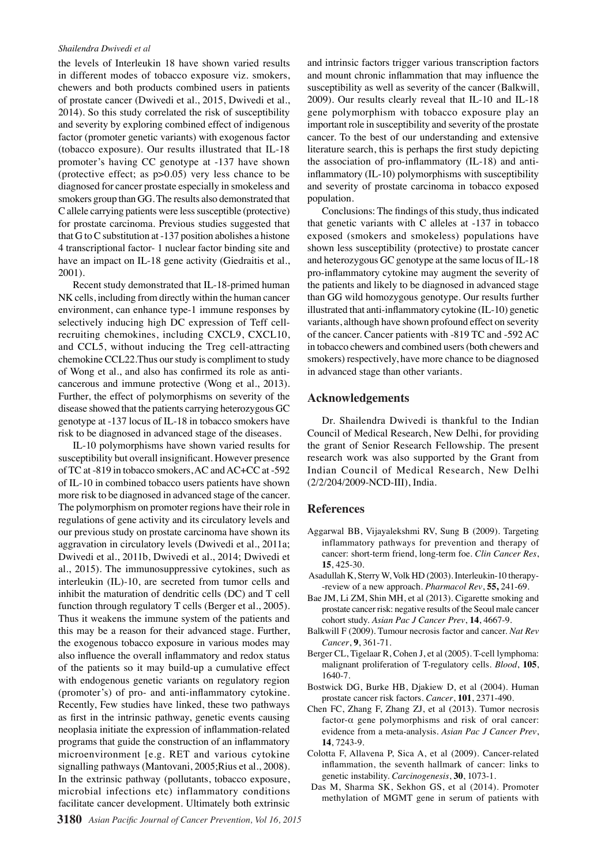#### *Shailendra Dwivedi et al*

the levels of Interleukin 18 have shown varied results in different modes of tobacco exposure viz. smokers, chewers and both products combined users in patients of prostate cancer (Dwivedi et al., 2015, Dwivedi et al., 2014). So this study correlated the risk of susceptibility and severity by exploring combined effect of indigenous factor (promoter genetic variants) with exogenous factor (tobacco exposure). Our results illustrated that IL-18 promoter's having CC genotype at -137 have shown (protective effect; as p>0.05) very less chance to be diagnosed for cancer prostate especially in smokeless and smokers group than GG. The results also demonstrated that C allele carrying patients were less susceptible (protective) for prostate carcinoma. Previous studies suggested that that G to C substitution at -137 position abolishes a histone 4 transcriptional factor- 1 nuclear factor binding site and have an impact on IL-18 gene activity (Giedraitis et al., 2001).

Recent study demonstrated that IL-18-primed human NK cells, including from directly within the human cancer environment, can enhance type-1 immune responses by selectively inducing high DC expression of Teff cellrecruiting chemokines, including CXCL9, CXCL10, and CCL5, without inducing the Treg cell-attracting chemokine CCL22.Thus our study is compliment to study of Wong et al., and also has confirmed its role as anticancerous and immune protective (Wong et al., 2013). Further, the effect of polymorphisms on severity of the disease showed that the patients carrying heterozygous GC genotype at -137 locus of IL-18 in tobacco smokers have risk to be diagnosed in advanced stage of the diseases.

IL-10 polymorphisms have shown varied results for susceptibility but overall insignificant. However presence of TC at -819 in tobacco smokers, AC and AC+CC at -592 of IL-10 in combined tobacco users patients have shown more risk to be diagnosed in advanced stage of the cancer. The polymorphism on promoter regions have their role in regulations of gene activity and its circulatory levels and our previous study on prostate carcinoma have shown its aggravation in circulatory levels (Dwivedi et al., 2011a; Dwivedi et al., 2011b, Dwivedi et al., 2014; Dwivedi et al., 2015). The immunosuppressive cytokines, such as interleukin (IL)-10, are secreted from tumor cells and inhibit the maturation of dendritic cells (DC) and T cell function through regulatory T cells (Berger et al., 2005). Thus it weakens the immune system of the patients and this may be a reason for their advanced stage. Further, the exogenous tobacco exposure in various modes may also influence the overall inflammatory and redox status of the patients so it may build-up a cumulative effect with endogenous genetic variants on regulatory region (promoter's) of pro- and anti-inflammatory cytokine. Recently, Few studies have linked, these two pathways as first in the intrinsic pathway, genetic events causing neoplasia initiate the expression of inflammation-related programs that guide the construction of an inflammatory microenvironment [e.g. RET and various cytokine signalling pathways (Mantovani, 2005;Rius et al., 2008). In the extrinsic pathway (pollutants, tobacco exposure, microbial infections etc) inflammatory conditions facilitate cancer development. Ultimately both extrinsic

and intrinsic factors trigger various transcription factors and mount chronic inflammation that may influence the susceptibility as well as severity of the cancer (Balkwill, 2009). Our results clearly reveal that IL-10 and IL-18 gene polymorphism with tobacco exposure play an important role in susceptibility and severity of the prostate cancer. To the best of our understanding and extensive literature search, this is perhaps the first study depicting the association of pro-inflammatory (IL-18) and antiinflammatory (IL-10) polymorphisms with susceptibility and severity of prostate carcinoma in tobacco exposed population.

Conclusions: The findings of this study, thus indicated that genetic variants with C alleles at -137 in tobacco exposed (smokers and smokeless) populations have shown less susceptibility (protective) to prostate cancer and heterozygous GC genotype at the same locus of IL-18 pro-inflammatory cytokine may augment the severity of the patients and likely to be diagnosed in advanced stage than GG wild homozygous genotype. Our results further illustrated that anti-inflammatory cytokine (IL-10) genetic variants, although have shown profound effect on severity of the cancer. Cancer patients with -819 TC and -592 AC in tobacco chewers and combined users (both chewers and smokers) respectively, have more chance to be diagnosed in advanced stage than other variants.

# **Acknowledgements**

Dr. Shailendra Dwivedi is thankful to the Indian Council of Medical Research, New Delhi, for providing the grant of Senior Research Fellowship. The present research work was also supported by the Grant from Indian Council of Medical Research, New Delhi (2/2/204/2009-NCD-III), India.

# **References**

- Aggarwal BB, Vijayalekshmi RV, Sung B (2009). Targeting inflammatory pathways for prevention and therapy of cancer: short-term friend, long-term foe. *Clin Cancer Res*, **15**, 425-30.
- Asadullah K, Sterry W, Volk HD (2003). Interleukin-10 therapy- -review of a new approach. *Pharmacol Rev*, **55,** 241-69.
- Bae JM, Li ZM, Shin MH, et al (2013). Cigarette smoking and prostate cancer risk: negative results of the Seoul male cancer cohort study. *Asian Pac J Cancer Prev*, **14**, 4667-9.
- Balkwill F (2009). Tumour necrosis factor and cancer. *Nat Rev Cancer*, **9**, 361-71.
- Berger CL, Tigelaar R, Cohen J, et al (2005). T-cell lymphoma: malignant proliferation of T-regulatory cells. *Blood*, **105**, 1640-7.
- Bostwick DG, Burke HB, Djakiew D, et al (2004). Human prostate cancer risk factors. *Cancer*, **101**, 2371-490.
- Chen FC, Zhang F, Zhang ZJ, et al (2013). Tumor necrosis factor- $\alpha$  gene polymorphisms and risk of oral cancer: evidence from a meta-analysis. *Asian Pac J Cancer Prev*, **14**, 7243-9.
- Colotta F, Allavena P, Sica A, et al (2009). Cancer-related inflammation, the seventh hallmark of cancer: links to genetic instability. *Carcinogenesis*, **30**, 1073-1.
- Das M, Sharma SK, Sekhon GS, et al (2014). Promoter methylation of MGMT gene in serum of patients with